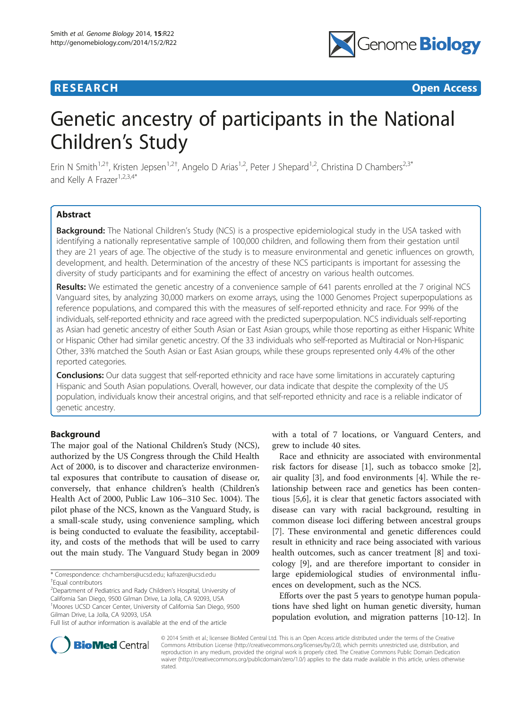# **RESEARCH CHEAR CHEAR CHEAR CHEAR CHEAR CHEAR CHEAR CHEAR CHEAR CHEAR CHEAR CHEAR CHEAR CHEAR CHEAR CHEAR CHEAR**



# Genetic ancestry of participants in the National Children's Study

Erin N Smith<sup>1,2†</sup>, Kristen Jepsen<sup>1,2†</sup>, Angelo D Arias<sup>1,2</sup>, Peter J Shepard<sup>1,2</sup>, Christina D Chambers<sup>2,3\*</sup> and Kelly A Frazer<sup>1,2,3,4\*</sup>

# Abstract

Background: The National Children's Study (NCS) is a prospective epidemiological study in the USA tasked with identifying a nationally representative sample of 100,000 children, and following them from their gestation until they are 21 years of age. The objective of the study is to measure environmental and genetic influences on growth, development, and health. Determination of the ancestry of these NCS participants is important for assessing the diversity of study participants and for examining the effect of ancestry on various health outcomes.

Results: We estimated the genetic ancestry of a convenience sample of 641 parents enrolled at the 7 original NCS Vanguard sites, by analyzing 30,000 markers on exome arrays, using the 1000 Genomes Project superpopulations as reference populations, and compared this with the measures of self-reported ethnicity and race. For 99% of the individuals, self-reported ethnicity and race agreed with the predicted superpopulation. NCS individuals self-reporting as Asian had genetic ancestry of either South Asian or East Asian groups, while those reporting as either Hispanic White or Hispanic Other had similar genetic ancestry. Of the 33 individuals who self-reported as Multiracial or Non-Hispanic Other, 33% matched the South Asian or East Asian groups, while these groups represented only 4.4% of the other reported categories.

**Conclusions:** Our data suggest that self-reported ethnicity and race have some limitations in accurately capturing Hispanic and South Asian populations. Overall, however, our data indicate that despite the complexity of the US population, individuals know their ancestral origins, and that self-reported ethnicity and race is a reliable indicator of genetic ancestry.

# Background

The major goal of the National Children's Study (NCS), authorized by the US Congress through the Child Health Act of 2000, is to discover and characterize environmental exposures that contribute to causation of disease or, conversely, that enhance children's health (Children's Health Act of 2000, Public Law 106–310 Sec. 1004). The pilot phase of the NCS, known as the Vanguard Study, is a small-scale study, using convenience sampling, which is being conducted to evaluate the feasibility, acceptability, and costs of the methods that will be used to carry out the main study. The Vanguard Study began in 2009

\* Correspondence: [chchambers@ucsd.edu](mailto:chchambers@ucsd.edu); [kafrazer@ucsd.edu](mailto:kafrazer@ucsd.edu) †

<sup>2</sup>Department of Pediatrics and Rady Children's Hospital, University of California San Diego, 9500 Gilman Drive, La Jolla, CA 92093, USA <sup>1</sup>Moores UCSD Cancer Center, University of California San Diego, 9500 Gilman Drive, La Jolla, CA 92093, USA

with a total of 7 locations, or Vanguard Centers, and grew to include 40 sites.

Race and ethnicity are associated with environmental risk factors for disease [[1\]](#page-5-0), such as tobacco smoke [\[2](#page-5-0)], air quality [[3\]](#page-5-0), and food environments [[4\]](#page-5-0). While the relationship between race and genetics has been contentious [\[5,6](#page-5-0)], it is clear that genetic factors associated with disease can vary with racial background, resulting in common disease loci differing between ancestral groups [[7\]](#page-5-0). These environmental and genetic differences could result in ethnicity and race being associated with various health outcomes, such as cancer treatment [\[8](#page-5-0)] and toxicology [[9\]](#page-5-0), and are therefore important to consider in large epidemiological studies of environmental influences on development, such as the NCS.

Efforts over the past 5 years to genotype human populations have shed light on human genetic diversity, human population evolution, and migration patterns [[10-12\]](#page-5-0). In



© 2014 Smith et al.; licensee BioMed Central Ltd. This is an Open Access article distributed under the terms of the Creative Commons Attribution License [\(http://creativecommons.org/licenses/by/2.0\)](http://creativecommons.org/licenses/by/2.0), which permits unrestricted use, distribution, and reproduction in any medium, provided the original work is properly cited. The Creative Commons Public Domain Dedication waiver [\(http://creativecommons.org/publicdomain/zero/1.0/\)](http://creativecommons.org/publicdomain/zero/1.0/) applies to the data made available in this article, unless otherwise stated.

Equal contributors

Full list of author information is available at the end of the article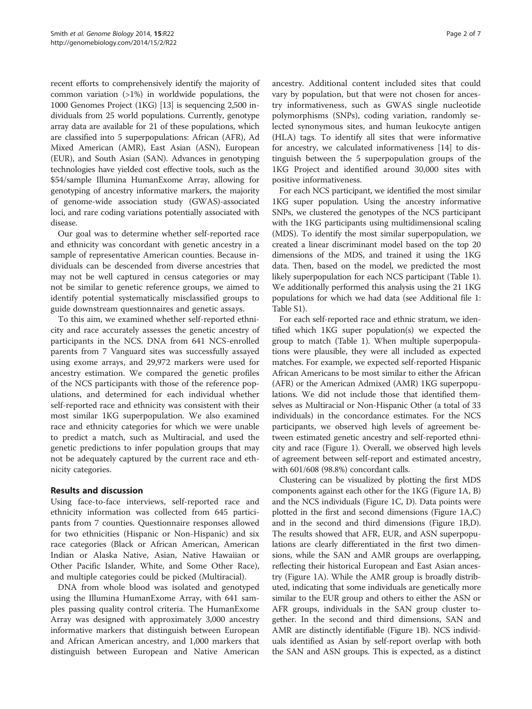recent efforts to comprehensively identify the majority of common variation (>1%) in worldwide populations, the 1000 Genomes Project (1KG) [\[13\]](#page-5-0) is sequencing 2,500 individuals from 25 world populations. Currently, genotype array data are available for 21 of these populations, which are classified into 5 superpopulations: African (AFR), Ad Mixed American (AMR), East Asian (ASN), European (EUR), and South Asian (SAN). Advances in genotyping technologies have yielded cost effective tools, such as the \$54/sample Illumina HumanExome Array, allowing for genotyping of ancestry informative markers, the majority of genome-wide association study (GWAS)-associated loci, and rare coding variations potentially associated with disease.

Our goal was to determine whether self-reported race and ethnicity was concordant with genetic ancestry in a sample of representative American counties. Because individuals can be descended from diverse ancestries that may not be well captured in census categories or may not be similar to genetic reference groups, we aimed to identify potential systematically misclassified groups to guide downstream questionnaires and genetic assays.

To this aim, we examined whether self-reported ethnicity and race accurately assesses the genetic ancestry of participants in the NCS. DNA from 641 NCS-enrolled parents from 7 Vanguard sites was successfully assayed using exome arrays, and 29,972 markers were used for ancestry estimation. We compared the genetic profiles of the NCS participants with those of the reference populations, and determined for each individual whether self-reported race and ethnicity was consistent with their most similar 1KG superpopulation. We also examined race and ethnicity categories for which we were unable to predict a match, such as Multiracial, and used the genetic predictions to infer population groups that may not be adequately captured by the current race and ethnicity categories.

# Results and discussion

Using face-to-face interviews, self-reported race and ethnicity information was collected from 645 participants from 7 counties. Questionnaire responses allowed for two ethnicities (Hispanic or Non-Hispanic) and six race categories (Black or African American, American Indian or Alaska Native, Asian, Native Hawaiian or Other Pacific Islander, White, and Some Other Race), and multiple categories could be picked (Multiracial).

DNA from whole blood was isolated and genotyped using the Illumina HumanExome Array, with 641 samples passing quality control criteria. The HumanExome Array was designed with approximately 3,000 ancestry informative markers that distinguish between European and African American ancestry, and 1,000 markers that distinguish between European and Native American

ancestry. Additional content included sites that could vary by population, but that were not chosen for ancestry informativeness, such as GWAS single nucleotide polymorphisms (SNPs), coding variation, randomly selected synonymous sites, and human leukocyte antigen (HLA) tags. To identify all sites that were informative for ancestry, we calculated informativeness [\[14](#page-5-0)] to distinguish between the 5 superpopulation groups of the 1KG Project and identified around 30,000 sites with positive informativeness.

For each NCS participant, we identified the most similar 1KG super population. Using the ancestry informative SNPs, we clustered the genotypes of the NCS participant with the 1KG participants using multidimensional scaling (MDS). To identify the most similar superpopulation, we created a linear discriminant model based on the top 20 dimensions of the MDS, and trained it using the 1KG data. Then, based on the model, we predicted the most likely superpopulation for each NCS participant (Table [1](#page-2-0)). We additionally performed this analysis using the 21 1KG populations for which we had data (see Additional file [1](#page-5-0): Table S1).

For each self-reported race and ethnic stratum, we identified which 1KG super population(s) we expected the group to match (Table [1](#page-2-0)). When multiple superpopulations were plausible, they were all included as expected matches. For example, we expected self-reported Hispanic African Americans to be most similar to either the African (AFR) or the American Admixed (AMR) 1KG superpopulations. We did not include those that identified themselves as Multiracial or Non-Hispanic Other (a total of 33 individuals) in the concordance estimates. For the NCS participants, we observed high levels of agreement between estimated genetic ancestry and self-reported ethnicity and race (Figure [1\)](#page-3-0). Overall, we observed high levels of agreement between self-report and estimated ancestry, with 601/608 (98.8%) concordant calls.

Clustering can be visualized by plotting the first MDS components against each other for the 1KG (Figure [1A](#page-3-0), B) and the NCS individuals (Figure [1C](#page-3-0), D). Data points were plotted in the first and second dimensions (Figure [1A](#page-3-0),C) and in the second and third dimensions (Figure [1B](#page-3-0),D). The results showed that AFR, EUR, and ASN superpopulations are clearly differentiated in the first two dimensions, while the SAN and AMR groups are overlapping, reflecting their historical European and East Asian ancestry (Figure [1A](#page-3-0)). While the AMR group is broadly distributed, indicating that some individuals are genetically more similar to the EUR group and others to either the ASN or AFR groups, individuals in the SAN group cluster together. In the second and third dimensions, SAN and AMR are distinctly identifiable (Figure [1B](#page-3-0)). NCS individuals identified as Asian by self-report overlap with both the SAN and ASN groups. This is expected, as a distinct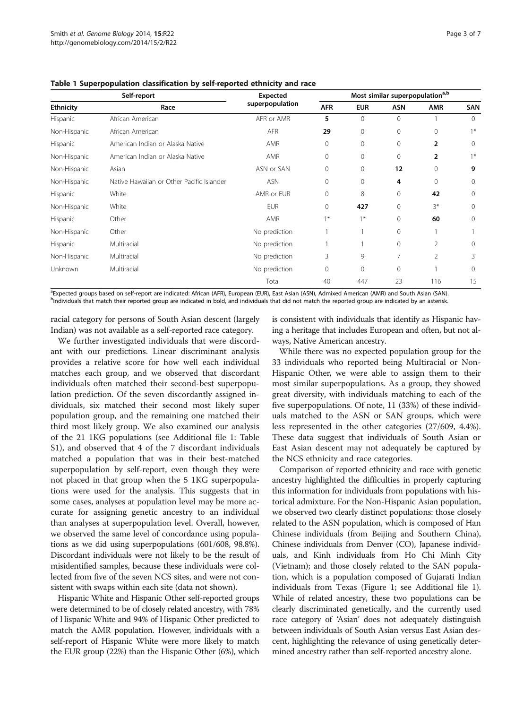| Self-report      |                                           | Expected        | Most similar superpopulation <sup>a,b</sup> |            |                |                |          |
|------------------|-------------------------------------------|-----------------|---------------------------------------------|------------|----------------|----------------|----------|
| <b>Ethnicity</b> | Race                                      | superpopulation | <b>AFR</b>                                  | <b>EUR</b> | <b>ASN</b>     | <b>AMR</b>     | SAN      |
| Hispanic         | African American                          | AFR or AMR      | 5                                           | 0          | $\mathbf{0}$   |                | $\Omega$ |
| Non-Hispanic     | African American                          | <b>AFR</b>      | 29                                          | 0          | $\mathbf{0}$   | $\mathbf{0}$   | $1*$     |
| Hispanic         | American Indian or Alaska Native          | AMR             | $\mathbf{0}$                                | 0          | $\mathbf{0}$   | $\overline{2}$ | $\Omega$ |
| Non-Hispanic     | American Indian or Alaska Native          | <b>AMR</b>      | 0                                           | 0          | $\mathbf{0}$   | 2              | $1*$     |
| Non-Hispanic     | Asian                                     | ASN or SAN      | $\mathbf{0}$                                | 0          | 12             | $\mathbf{0}$   | 9        |
| Non-Hispanic     | Native Hawaiian or Other Pacific Islander | <b>ASN</b>      | $\mathbf{0}$                                | 0          | 4              | $\Omega$       | $\Omega$ |
| Hispanic         | White                                     | AMR or EUR      | $\mathbf{0}$                                | 8          | $\mathbf{0}$   | 42             | 0        |
| Non-Hispanic     | White                                     | <b>EUR</b>      | $\mathbf{0}$                                | 427        | $\mathbf{0}$   | $3*$           | $\Omega$ |
| Hispanic         | Other                                     | AMR             | $1*$                                        | $1*$       | $\Omega$       | 60             | $\Omega$ |
| Non-Hispanic     | Other                                     | No prediction   |                                             |            | $\mathbf{0}$   |                |          |
| Hispanic         | Multiracial                               | No prediction   |                                             |            | $\mathbf{0}$   | 2              | $\Omega$ |
| Non-Hispanic     | Multiracial                               | No prediction   | 3                                           | 9          | 7              | $\overline{2}$ | 3        |
| Unknown          | Multiracial                               | No prediction   | $\mathbf{0}$                                | 0          | $\overline{0}$ |                | $\Omega$ |
|                  |                                           | Total           | 40                                          | 447        | 23             | 116            | 15       |

<span id="page-2-0"></span>Table 1 Superpopulation classification by self-reported ethnicity and race

a Expected groups based on self-report are indicated: African (AFR), European (EUR), East Asian (ASN), Admixed American (AMR) and South Asian (SAN). <sup>b</sup>Individuals that match their reported group are indicated in bold, and individuals that did not match the reported group are indicated by an asterisk

racial category for persons of South Asian descent (largely Indian) was not available as a self-reported race category.

We further investigated individuals that were discordant with our predictions. Linear discriminant analysis provides a relative score for how well each individual matches each group, and we observed that discordant individuals often matched their second-best superpopulation prediction. Of the seven discordantly assigned individuals, six matched their second most likely super population group, and the remaining one matched their third most likely group. We also examined our analysis of the 21 1KG populations (see Additional file [1](#page-5-0): Table S1), and observed that 4 of the 7 discordant individuals matched a population that was in their best-matched superpopulation by self-report, even though they were not placed in that group when the 5 1KG superpopulations were used for the analysis. This suggests that in some cases, analyses at population level may be more accurate for assigning genetic ancestry to an individual than analyses at superpopulation level. Overall, however, we observed the same level of concordance using populations as we did using superpopulations (601/608, 98.8%). Discordant individuals were not likely to be the result of misidentified samples, because these individuals were collected from five of the seven NCS sites, and were not consistent with swaps within each site (data not shown).

Hispanic White and Hispanic Other self-reported groups were determined to be of closely related ancestry, with 78% of Hispanic White and 94% of Hispanic Other predicted to match the AMR population. However, individuals with a self-report of Hispanic White were more likely to match the EUR group (22%) than the Hispanic Other (6%), which

is consistent with individuals that identify as Hispanic having a heritage that includes European and often, but not always, Native American ancestry.

While there was no expected population group for the 33 individuals who reported being Multiracial or Non-Hispanic Other, we were able to assign them to their most similar superpopulations. As a group, they showed great diversity, with individuals matching to each of the five superpopulations. Of note, 11 (33%) of these individuals matched to the ASN or SAN groups, which were less represented in the other categories (27/609, 4.4%). These data suggest that individuals of South Asian or East Asian descent may not adequately be captured by the NCS ethnicity and race categories.

Comparison of reported ethnicity and race with genetic ancestry highlighted the difficulties in properly capturing this information for individuals from populations with historical admixture. For the Non-Hispanic Asian population, we observed two clearly distinct populations: those closely related to the ASN population, which is composed of Han Chinese individuals (from Beijing and Southern China), Chinese individuals from Denver (CO), Japanese individuals, and Kinh individuals from Ho Chi Minh City (Vietnam); and those closely related to the SAN population, which is a population composed of Gujarati Indian individuals from Texas (Figure [1](#page-3-0); see Additional file [1](#page-5-0)). While of related ancestry, these two populations can be clearly discriminated genetically, and the currently used race category of 'Asian' does not adequately distinguish between individuals of South Asian versus East Asian descent, highlighting the relevance of using genetically determined ancestry rather than self-reported ancestry alone.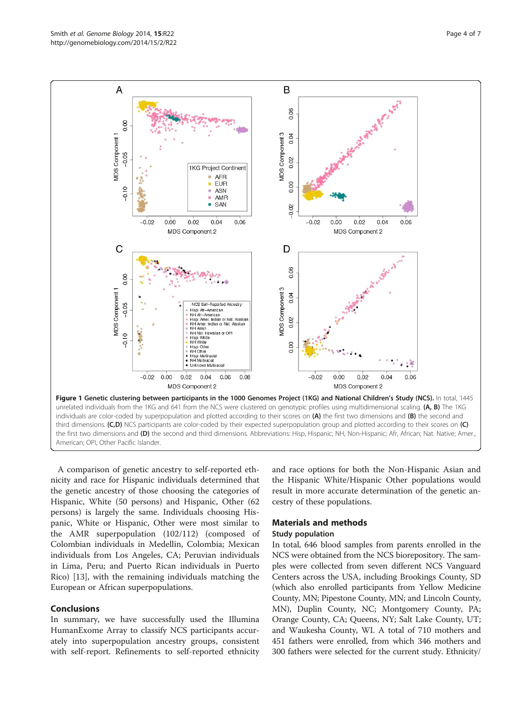<span id="page-3-0"></span>

A comparison of genetic ancestry to self-reported ethnicity and race for Hispanic individuals determined that the genetic ancestry of those choosing the categories of Hispanic, White (50 persons) and Hispanic, Other (62 persons) is largely the same. Individuals choosing Hispanic, White or Hispanic, Other were most similar to the AMR superpopulation (102/112) (composed of Colombian individuals in Medellin, Colombia; Mexican individuals from Los Angeles, CA; Peruvian individuals in Lima, Peru; and Puerto Rican individuals in Puerto Rico) [[13\]](#page-5-0), with the remaining individuals matching the European or African superpopulations.

#### Conclusions

In summary, we have successfully used the Illumina HumanExome Array to classify NCS participants accurately into superpopulation ancestry groups, consistent with self-report. Refinements to self-reported ethnicity and race options for both the Non-Hispanic Asian and the Hispanic White/Hispanic Other populations would result in more accurate determination of the genetic ancestry of these populations.

#### Materials and methods

# Study population

In total, 646 blood samples from parents enrolled in the NCS were obtained from the NCS biorepository. The samples were collected from seven different NCS Vanguard Centers across the USA, including Brookings County, SD (which also enrolled participants from Yellow Medicine County, MN; Pipestone County, MN; and Lincoln County, MN), Duplin County, NC; Montgomery County, PA; Orange County, CA; Queens, NY; Salt Lake County, UT; and Waukesha County, WI. A total of 710 mothers and 451 fathers were enrolled, from which 346 mothers and 300 fathers were selected for the current study. Ethnicity/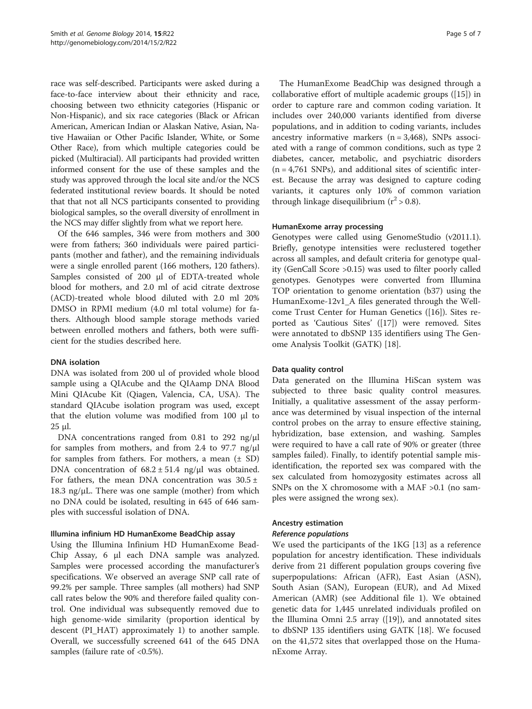race was self-described. Participants were asked during a face-to-face interview about their ethnicity and race, choosing between two ethnicity categories (Hispanic or Non-Hispanic), and six race categories (Black or African American, American Indian or Alaskan Native, Asian, Native Hawaiian or Other Pacific Islander, White, or Some Other Race), from which multiple categories could be picked (Multiracial). All participants had provided written informed consent for the use of these samples and the study was approved through the local site and/or the NCS federated institutional review boards. It should be noted that that not all NCS participants consented to providing biological samples, so the overall diversity of enrollment in the NCS may differ slightly from what we report here.

Of the 646 samples, 346 were from mothers and 300 were from fathers; 360 individuals were paired participants (mother and father), and the remaining individuals were a single enrolled parent (166 mothers, 120 fathers). Samples consisted of 200 μl of EDTA-treated whole blood for mothers, and 2.0 ml of acid citrate dextrose (ACD)-treated whole blood diluted with 2.0 ml 20% DMSO in RPMI medium (4.0 ml total volume) for fathers. Although blood sample storage methods varied between enrolled mothers and fathers, both were sufficient for the studies described here.

# DNA isolation

DNA was isolated from 200 ul of provided whole blood sample using a QIAcube and the QIAamp DNA Blood Mini QIAcube Kit (Qiagen, Valencia, CA, USA). The standard QIAcube isolation program was used, except that the elution volume was modified from 100 μl to 25 μl.

DNA concentrations ranged from 0.81 to 292 ng/μl for samples from mothers, and from 2.4 to 97.7 ng/μl for samples from fathers. For mothers, a mean  $(\pm SD)$ DNA concentration of  $68.2 \pm 51.4$  ng/ $\mu$ l was obtained. For fathers, the mean DNA concentration was  $30.5 \pm$ 18.3 ng/μL. There was one sample (mother) from which no DNA could be isolated, resulting in 645 of 646 samples with successful isolation of DNA.

# Illumina infinium HD HumanExome BeadChip assay

Using the Illumina Infinium HD HumanExome Bead-Chip Assay, 6 μl each DNA sample was analyzed. Samples were processed according the manufacturer's specifications. We observed an average SNP call rate of 99.2% per sample. Three samples (all mothers) had SNP call rates below the 90% and therefore failed quality control. One individual was subsequently removed due to high genome-wide similarity (proportion identical by descent (PI\_HAT) approximately 1) to another sample. Overall, we successfully screened 641 of the 645 DNA samples (failure rate of <0.5%).

The HumanExome BeadChip was designed through a collaborative effort of multiple academic groups ([\[15](#page-5-0)]) in order to capture rare and common coding variation. It includes over 240,000 variants identified from diverse populations, and in addition to coding variants, includes ancestry informative markers  $(n = 3,468)$ , SNPs associated with a range of common conditions, such as type 2 diabetes, cancer, metabolic, and psychiatric disorders  $(n = 4,761$  SNPs), and additional sites of scientific interest. Because the array was designed to capture coding variants, it captures only 10% of common variation through linkage disequilibrium  $(r^2 > 0.8)$ .

#### HumanExome array processing

Genotypes were called using GenomeStudio (v2011.1). Briefly, genotype intensities were reclustered together across all samples, and default criteria for genotype quality (GenCall Score >0.15) was used to filter poorly called genotypes. Genotypes were converted from Illumina TOP orientation to genome orientation (b37) using the HumanExome-12v1\_A files generated through the Wellcome Trust Center for Human Genetics ([\[16](#page-5-0)]). Sites reported as 'Cautious Sites' ([[17\]](#page-5-0)) were removed. Sites were annotated to dbSNP 135 identifiers using The Genome Analysis Toolkit (GATK) [[18\]](#page-5-0).

#### Data quality control

Data generated on the Illumina HiScan system was subjected to three basic quality control measures. Initially, a qualitative assessment of the assay performance was determined by visual inspection of the internal control probes on the array to ensure effective staining, hybridization, base extension, and washing. Samples were required to have a call rate of 90% or greater (three samples failed). Finally, to identify potential sample misidentification, the reported sex was compared with the sex calculated from homozygosity estimates across all SNPs on the X chromosome with a MAF >0.1 (no samples were assigned the wrong sex).

#### Ancestry estimation

#### Reference populations

We used the participants of the 1KG [\[13\]](#page-5-0) as a reference population for ancestry identification. These individuals derive from 21 different population groups covering five superpopulations: African (AFR), East Asian (ASN), South Asian (SAN), European (EUR), and Ad Mixed American (AMR) (see Additional file [1\)](#page-5-0). We obtained genetic data for 1,445 unrelated individuals profiled on the Illumina Omni 2.5 array ([[19\]](#page-5-0)), and annotated sites to dbSNP 135 identifiers using GATK [[18](#page-5-0)]. We focused on the 41,572 sites that overlapped those on the HumanExome Array.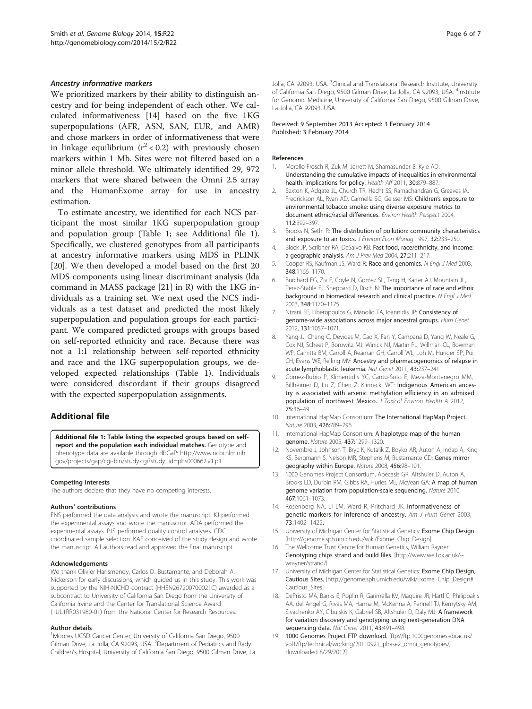#### <span id="page-5-0"></span>Ancestry informative markers

We prioritized markers by their ability to distinguish ancestry and for being independent of each other. We calculated informativeness [14] based on the five 1KG superpopulations (AFR, ASN, SAN, EUR, and AMR) and chose markers in order of informativeness that were in linkage equilibrium  $(r^2 < 0.2)$  with previously chosen markers within 1 Mb. Sites were not filtered based on a minor allele threshold. We ultimately identified 29, 972 markers that were shared between the Omni 2.5 array and the HumanExome array for use in ancestry estimation.

To estimate ancestry, we identified for each NCS participant the most similar 1KG superpopulation group and population group (Table [1](#page-2-0); see Additional file 1). Specifically, we clustered genotypes from all participants at ancestry informative markers using MDS in PLINK [[20\]](#page-6-0). We then developed a model based on the first 20 MDS components using linear discriminant analysis (lda command in MASS package [\[21](#page-6-0)] in R) with the 1KG individuals as a training set. We next used the NCS individuals as a test dataset and predicted the most likely superpopulation and population groups for each participant. We compared predicted groups with groups based on self-reported ethnicity and race. Because there was not a 1:1 relationship between self-reported ethnicity and race and the 1KG superpopulation groups, we developed expected relationships (Table [1\)](#page-2-0). Individuals were considered discordant if their groups disagreed with the expected superpopulation assignments.

# Additional file

[Additional file 1:](http://www.biomedcentral.com/content/supplementary/gb-2014-15-2-r22-S1.xlsx) Table listing the expected groups based on selfreport and the population each individual matches. Genotype and phenotype data are available through dbGaP: [http://www.ncbi.nlm.nih.](http://www.ncbi.nlm.nih.gov/projects/gap/cgi-bin/study.cgi?study_id=phs000662.v1.p1) [gov/projects/gap/cgi-bin/study.cgi?study\\_id=phs000662.v1.p1](http://www.ncbi.nlm.nih.gov/projects/gap/cgi-bin/study.cgi?study_id=phs000662.v1.p1).

#### Competing interests

The authors declare that they have no competing interests.

#### Authors' contributions

ENS performed the data analysis and wrote the manuscript. KJ performed the experimental assays and wrote the manuscript. ADA performed the experimental assays. PJS performed quality control analyses. CDC coordinated sample selection. KAF conceived of the study design and wrote the manuscript. All authors read and approved the final manuscript.

#### Acknowledgements

We thank Olivier Harismendy, Carlos D. Bustamante, and Deborah A. Nickerson for early discussions, which guided us in this study. This work was supported by the NIH-NICHD contract (HHSN267200700021C) awarded as a subcontract to University of California San Diego from the University of California Irvine and the Center for Translational Science Award (1UL1RR031980-01) from the National Center for Research Resources.

#### Author details

<sup>1</sup>Moores UCSD Cancer Center, University of California San Diego, 9500 Gilman Drive, La Jolla, CA 92093, USA. <sup>2</sup>Department of Pediatrics and Rady Children's Hospital, University of California San Diego, 9500 Gilman Drive, La

Jolla, CA 92093, USA. <sup>3</sup>Clinical and Translational Research Institute, University of California San Diego, 9500 Gilman Drive, La Jolla, CA 92093, USA. <sup>4</sup>Institute for Genomic Medicine, University of California San Diego, 9500 Gilman Drive, La Jolla, CA 92093, USA.

#### Received: 9 September 2013 Accepted: 3 February 2014 Published: 3 February 2014

#### References

- 1. Morello-Frosch R, Zuk M, Jerrett M, Shamasunder B, Kyle AD: Understanding the cumulative impacts of inequalities in environmental health: implications for policy. Health Aff 2011, 30:879–887.
- 2. Sexton K, Adgate JL, Church TR, Hecht SS, Ramachandran G, Greaves IA, Fredrickson AL, Ryan AD, Carmella SG, Geisser MS: Children's exposure to environmental tobacco smoke: using diverse exposure metrics to document ethnic/racial differences. Environ Health Perspect 2004, 112:392–397.
- 3. Brooks N, Sethi R: The distribution of pollution: community characteristics and exposure to air toxics. *J Environ Econ Manag* 1997, 32:233-250.
- 4. Block JP, Scribner RA, DeSalvo KB: Fast food, race/ethnicity, and income: a geographic analysis. Am J Prev Med 2004, 27:211–217.
- 5. Cooper RS, Kaufman JS, Ward R: Race and genomics. N Engl J Med 2003, 348:1166–1170.
- 6. Burchard EG, Ziv E, Coyle N, Gomez SL, Tang H, Karter AJ, Mountain JL, Perez-Stable EJ, Sheppard D, Risch N: The importance of race and ethnic background in biomedical research and clinical practice. N Engl J Med 2003, 348:1170–1175.
- 7. Ntzani EE, Liberopoulos G, Manolio TA, Ioannidis JP: Consistency of genome-wide associations across major ancestral groups. Hum Genet 2012, 131:1057–1071.
- 8. Yang JJ, Cheng C, Devidas M, Cao X, Fan Y, Campana D, Yang W, Neale G, Cox NJ, Scheet P, Borowitz MJ, Winick NJ, Martin PL, Willman CL, Bowman WP, Camitta BM, Carroll A, Reaman GH, Carroll WL, Loh M, Hunger SP, Pui CH, Evans WE, Relling MV: Ancestry and pharmacogenomics of relapse in acute lymphoblastic leukemia. Nat Genet 2011, 43:237–241.
- 9. Gomez-Rubio P, Klimentidis YC, Cantu-Soto E, Meza-Montenegro MM, Billheimer D, Lu Z, Chen Z, Klimecki WT: Indigenous American ancestry is associated with arsenic methylation efficiency in an admixed population of northwest Mexico. J Toxicol Environ Health A 2012, 75:36–49.
- 10. International HapMap Consortium: The International HapMap Project. Nature 2003, 426:789–796.
- 11. International HapMap Consortium: A haplotype map of the human genome. Nature 2005, 437:1299–1320.
- 12. Novembre J, Johnson T, Bryc K, Kutalik Z, Boyko AR, Auton A, Indap A, King KS, Bergmann S, Nelson MR, Stephens M, Bustamante CD: Genes mirror geography within Europe. Nature 2008, 456:98–101.
- 13. 1000 Genomes Project Consortium, Abecasis GR, Altshuler D, Auton A, Brooks LD, Durbin RM, Gibbs RA, Hurles ME, McVean GA: A map of human genome variation from population-scale sequencing. Nature 2010, 467:1061–1073.
- 14. Rosenberg NA, Li LM, Ward R, Pritchard JK: Informativeness of genetic markers for inference of ancestry. Am J Hum Genet 2003, 73:1402–1422.
- 15. University of Michigan Center for Statistical Genetics: Exome Chip Design. [[http://genome.sph.umich.edu/wiki/Exome\\_Chip\\_Design\]](http://genome.sph.umich.edu/wiki/Exome_Chip_Design).
- 16. The Wellcome Trust Centre for Human Genetics, William Rayner: Genotyping chips strand and build files. [\[http://www.well.ox.ac.uk/~](http://www.well.ox.ac.uk/~wrayner/strand/) [wrayner/strand/](http://www.well.ox.ac.uk/~wrayner/strand/)]
- 17. University of Michigan Center for Statistical Genetics: Exome Chip Design, Cautious Sites. [[http://genome.sph.umich.edu/wiki/Exome\\_Chip\\_Design#](http://genome.sph.umich.edu/wiki/Exome_Chip_Design#Cautious_Sites) [Cautious\\_Sites\]](http://genome.sph.umich.edu/wiki/Exome_Chip_Design#Cautious_Sites)
- 18. DePristo MA, Banks E, Poplin R, Garimella KV, Maguire JR, Hartl C, Philippakis AA, del Angel G, Rivas MA, Hanna M, McKenna A, Fennell TJ, Kernytsky AM, Sivachenko AY, Cibulskis K, Gabriel SB, Altshuler D, Daly MJ: A framework for variation discovery and genotyping using next-generation DNA sequencing data. Nat Genet 2011, 43:491-498.
- 19. 1000 Genomes Project FTP download. [[ftp://ftp.1000genomes.ebi.ac.uk/](ftp://ftp.1000genomes.ebi.ac.uk/vol1/ftp/technical/working/20110921_phase2_omni_genotypes/) [vol1/ftp/technical/working/20110921\\_phase2\\_omni\\_genotypes/](ftp://ftp.1000genomes.ebi.ac.uk/vol1/ftp/technical/working/20110921_phase2_omni_genotypes/), downloaded 8/29/2012]